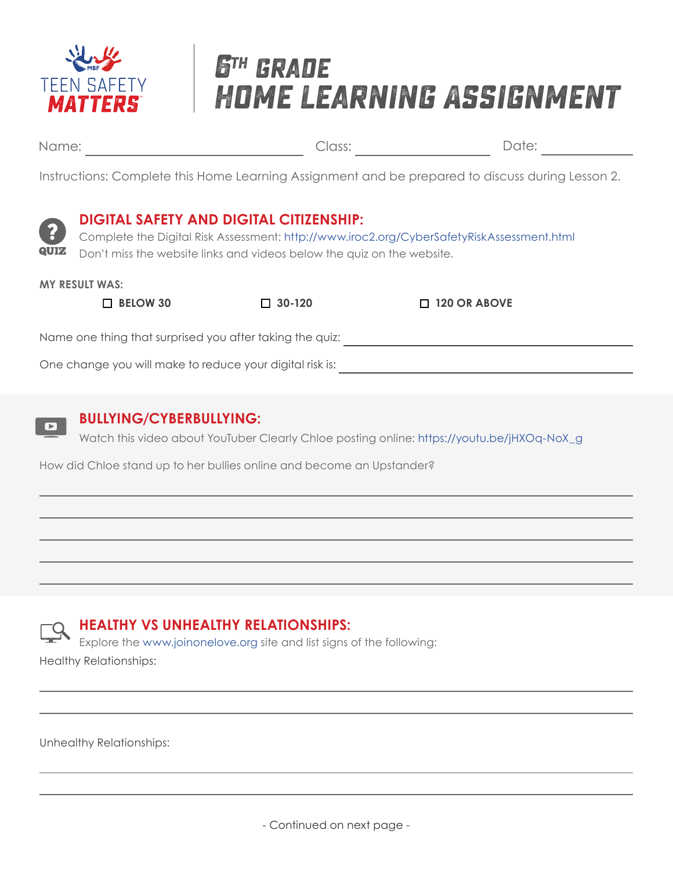

# **6th grade Home Learning Assignment**

Name: Date: Class:

 $\blacksquare$ 

Instructions: Complete this Home Learning Assignment and be prepared to discuss during Lesson 2.



### **BULLYING/CYBERBULLYING:**

Watch this video about YouTuber Clearly Chloe posting online: https://youtu.be/jHXOq-NoX\_g

How did Chloe stand up to her bullies online and become an Upstander?

### **HEALTHY VS UNHEALTHY RELATIONSHIPS:**

Explore the www.joinonelove.org site and list signs of the following: Healthy Relationships:

Unhealthy Relationships:

- Continued on next page -